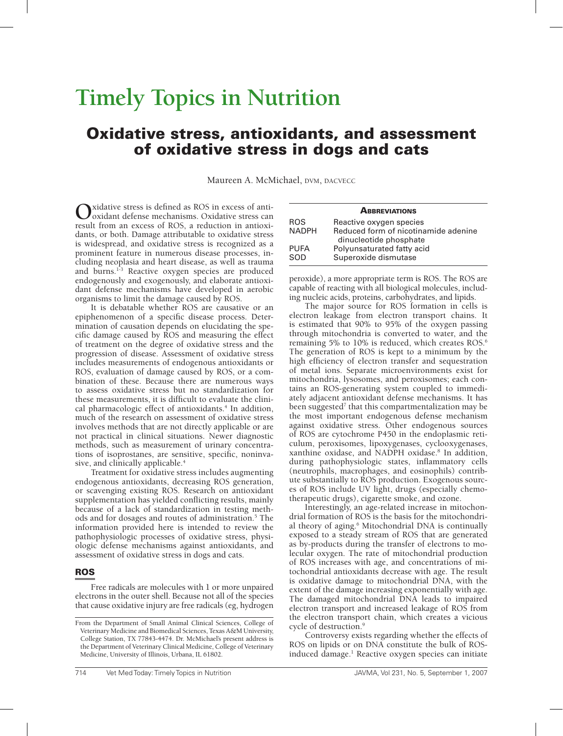# **Timely Topics in Nutrition**

# Oxidative stress, antioxidants, and assessment of oxidative stress in dogs and cats

Maureen A. McMichael, DVM, DACVECC

Oxidative stress is defined as ROS in excess of anti-<br>
oxidant defense mechanisms. Oxidative stress can result from an excess of ROS, a reduction in antioxidants, or both. Damage attributable to oxidative stress is widespread, and oxidative stress is recognized as a prominent feature in numerous disease processes, including neoplasia and heart disease, as well as trauma and burns.<sup>1-3</sup> Reactive oxygen species are produced endogenously and exogenously, and elaborate antioxidant defense mechanisms have developed in aerobic organisms to limit the damage caused by ROS.

It is debatable whether ROS are causative or an epiphenomenon of a specific disease process. Determination of causation depends on elucidating the specific damage caused by ROS and measuring the effect of treatment on the degree of oxidative stress and the progression of disease. Assessment of oxidative stress includes measurements of endogenous antioxidants or ROS, evaluation of damage caused by ROS, or a combination of these. Because there are numerous ways to assess oxidative stress but no standardization for these measurements, it is difficult to evaluate the clinical pharmacologic effect of antioxidants.<sup>4</sup> In addition, much of the research on assessment of oxidative stress involves methods that are not directly applicable or are not practical in clinical situations. Newer diagnostic methods, such as measurement of urinary concentrations of isoprostanes, are sensitive, specific, noninvasive, and clinically applicable.<sup>4</sup>

Treatment for oxidative stress includes augmenting endogenous antioxidants, decreasing ROS generation, or scavenging existing ROS. Research on antioxidant supplementation has yielded conflicting results, mainly because of a lack of standardization in testing methods and for dosages and routes of administration.<sup>5</sup> The information provided here is intended to review the pathophysiologic processes of oxidative stress, physiologic defense mechanisms against antioxidants, and assessment of oxidative stress in dogs and cats.

## ROS

Free radicals are molecules with 1 or more unpaired electrons in the outer shell. Because not all of the species that cause oxidative injury are free radicals (eg, hydrogen

| <b>ABBREVIATIONS</b> |                                                                |  |
|----------------------|----------------------------------------------------------------|--|
| <b>ROS</b>           | Reactive oxygen species                                        |  |
| <b>NADPH</b>         | Reduced form of nicotinamide adenine<br>dinucleotide phosphate |  |
| <b>PUFA</b>          | Polyunsaturated fatty acid                                     |  |
| SOD                  | Superoxide dismutase                                           |  |

peroxide), a more appropriate term is ROS. The ROS are capable of reacting with all biological molecules, including nucleic acids, proteins, carbohydrates, and lipids.

The major source for ROS formation in cells is electron leakage from electron transport chains. It is estimated that 90% to 95% of the oxygen passing through mitochondria is converted to water, and the remaining 5% to 10% is reduced, which creates ROS.<sup>6</sup> The generation of ROS is kept to a minimum by the high efficiency of electron transfer and sequestration of metal ions. Separate microenvironments exist for mitochondria, lysosomes, and peroxisomes; each contains an ROS-generating system coupled to immediately adjacent antioxidant defense mechanisms. It has been suggested<sup>7</sup> that this compartmentalization may be the most important endogenous defense mechanism against oxidative stress. Other endogenous sources of ROS are cytochrome P450 in the endoplasmic reticulum, peroxisomes, lipoxygenases, cyclooxygenases, xanthine oxidase, and NADPH oxidase.<sup>8</sup> In addition, during pathophysiologic states, inflammatory cells (neutrophils, macrophages, and eosinophils) contribute substantially to ROS production. Exogenous sources of ROS include UV light, drugs (especially chemotherapeutic drugs), cigarette smoke, and ozone.

Interestingly, an age-related increase in mitochondrial formation of ROS is the basis for the mitochondrial theory of aging.<sup>6</sup> Mitochondrial DNA is continually exposed to a steady stream of ROS that are generated as by-products during the transfer of electrons to molecular oxygen. The rate of mitochondrial production of ROS increases with age, and concentrations of mitochondrial antioxidants decrease with age. The result is oxidative damage to mitochondrial DNA, with the extent of the damage increasing exponentially with age. The damaged mitochondrial DNA leads to impaired electron transport and increased leakage of ROS from the electron transport chain, which creates a vicious cycle of destruction.9

Controversy exists regarding whether the effects of ROS on lipids or on DNA constitute the bulk of ROSinduced damage.1 Reactive oxygen species can initiate

From the Department of Small Animal Clinical Sciences, College of Veterinary Medicine and Biomedical Sciences, Texas A&M University, College Station, TX 77843-4474. Dr. McMichael's present address is the Department of Veterinary Clinical Medicine, College of Veterinary Medicine, University of Illinois, Urbana, IL 61802.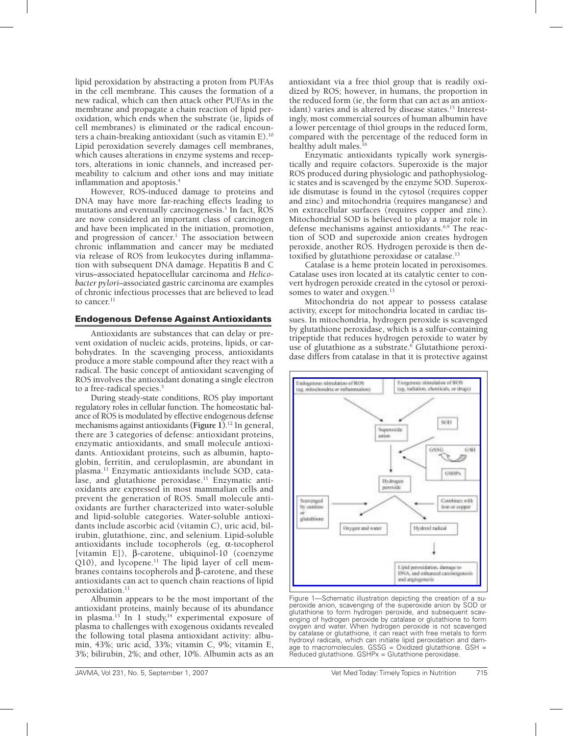lipid peroxidation by abstracting a proton from PUFAs in the cell membrane. This causes the formation of a new radical, which can then attack other PUFAs in the membrane and propagate a chain reaction of lipid peroxidation, which ends when the substrate (ie, lipids of cell membranes) is eliminated or the radical encounters a chain-breaking antioxidant (such as vitamin E).10 Lipid peroxidation severely damages cell membranes, which causes alterations in enzyme systems and receptors, alterations in ionic channels, and increased permeability to calcium and other ions and may initiate inflammation and apoptosis.<sup>4</sup>

However, ROS-induced damage to proteins and DNA may have more far-reaching effects leading to mutations and eventually carcinogenesis.<sup>1</sup> In fact, ROS are now considered an important class of carcinogen and have been implicated in the initiation, promotion, and progression of cancer.<sup>1</sup> The association between chronic inflammation and cancer may be mediated via release of ROS from leukocytes during inflammation with subsequent DNA damage. Hepatitis B and C virus–associated hepatocellular carcinoma and *Helicobacter pylori*–associated gastric carcinoma are examples of chronic infectious processes that are believed to lead to cancer. $^{11}$ 

#### Endogenous Defense Against Antioxidants

Antioxidants are substances that can delay or prevent oxidation of nucleic acids, proteins, lipids, or carbohydrates. In the scavenging process, antioxidants produce a more stable compound after they react with a radical. The basic concept of antioxidant scavenging of ROS involves the antioxidant donating a single electron to a free-radical species.<sup>5</sup>

During steady-state conditions, ROS play important regulatory roles in cellular function. The homeostatic balance of ROS is modulated by effective endogenous defense mechanisms against antioxidants **(Figure 1)**. 12 In general, there are 3 categories of defense: antioxidant proteins, enzymatic antioxidants, and small molecule antioxidants. Antioxidant proteins, such as albumin, haptoglobin, ferritin, and ceruloplasmin, are abundant in plasma.11 Enzymatic antioxidants include SOD, catalase, and glutathione peroxidase.<sup>11</sup> Enzymatic antioxidants are expressed in most mammalian cells and prevent the generation of ROS. Small molecule antioxidants are further characterized into water-soluble and lipid-soluble categories. Water-soluble antioxidants include ascorbic acid (vitamin C), uric acid, bilirubin, glutathione, zinc, and selenium. Lipid-soluble antioxidants include tocopherols (eg, α-tocopherol [vitamin E]), β-carotene, ubiquinol-10 (coenzyme Q10), and lycopene.<sup>11</sup> The lipid layer of cell membranes contains tocopherols and β-carotene, and these antioxidants can act to quench chain reactions of lipid peroxidation.<sup>11</sup>

Albumin appears to be the most important of the antioxidant proteins, mainly because of its abundance in plasma.<sup>13</sup> In 1 study,<sup>14</sup> experimental exposure of plasma to challenges with exogenous oxidants revealed the following total plasma antioxidant activity: albumin, 43%; uric acid, 33%; vitamin C, 9%; vitamin E, 3%; bilirubin, 2%; and other, 10%. Albumin acts as an antioxidant via a free thiol group that is readily oxidized by ROS; however, in humans, the proportion in the reduced form (ie, the form that can act as an antioxidant) varies and is altered by disease states.<sup>15</sup> Interestingly, most commercial sources of human albumin have a lower percentage of thiol groups in the reduced form, compared with the percentage of the reduced form in healthy adult males.<sup>16</sup>

Enzymatic antioxidants typically work synergistically and require cofactors. Superoxide is the major ROS produced during physiologic and pathophysiologic states and is scavenged by the enzyme SOD. Superoxide dismutase is found in the cytosol (requires copper and zinc) and mitochondria (requires manganese) and on extracellular surfaces (requires copper and zinc). Mitochondrial SOD is believed to play a major role in defense mechanisms against antioxidants.6,9 The reaction of SOD and superoxide anion creates hydrogen peroxide, another ROS. Hydrogen peroxide is then detoxified by glutathione peroxidase or catalase.<sup>13</sup>

Catalase is a heme protein located in peroxisomes. Catalase uses iron located at its catalytic center to convert hydrogen peroxide created in the cytosol or peroxisomes to water and oxygen.<sup>13</sup>

Mitochondria do not appear to possess catalase activity, except for mitochondria located in cardiac tissues. In mitochondria, hydrogen peroxide is scavenged by glutathione peroxidase, which is a sulfur-containing tripeptide that reduces hydrogen peroxide to water by use of glutathione as a substrate.<sup>6</sup> Glutathione peroxidase differs from catalase in that it is protective against



Figure 1—Schematic illustration depicting the creation of a superoxide anion, scavenging of the superoxide anion by SOD or glutathione to form hydrogen peroxide, and subsequent scavenging of hydrogen peroxide by catalase or glutathione to form oxygen and water. When hydrogen peroxide is not scavenged by catalase or glutathione, it can react with free metals to form hydroxyl radicals, which can initiate lipid peroxidation and damage to macromolecules. GSSG = Oxidized glutathione. GSH = Reduced glutathione. GSHPx = Glutathione peroxidase.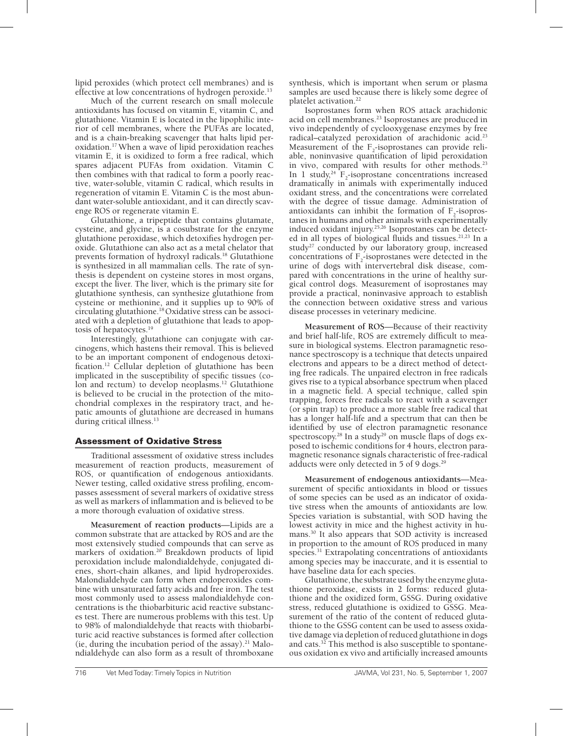lipid peroxides (which protect cell membranes) and is effective at low concentrations of hydrogen peroxide.<sup>13</sup>

Much of the current research on small molecule antioxidants has focused on vitamin E, vitamin C, and glutathione. Vitamin E is located in the lipophilic interior of cell membranes, where the PUFAs are located, and is a chain-breaking scavenger that halts lipid peroxidation.17 When a wave of lipid peroxidation reaches vitamin E, it is oxidized to form a free radical, which spares adjacent PUFAs from oxidation. Vitamin C then combines with that radical to form a poorly reactive, water-soluble, vitamin C radical, which results in regeneration of vitamin E. Vitamin C is the most abundant water-soluble antioxidant, and it can directly scavenge ROS or regenerate vitamin E.

Glutathione, a tripeptide that contains glutamate, cysteine, and glycine, is a cosubstrate for the enzyme glutathione peroxidase, which detoxifies hydrogen peroxide. Glutathione can also act as a metal chelator that prevents formation of hydroxyl radicals.18 Glutathione is synthesized in all mammalian cells. The rate of synthesis is dependent on cysteine stores in most organs, except the liver. The liver, which is the primary site for glutathione synthesis, can synthesize glutathione from cysteine or methionine, and it supplies up to 90% of circulating glutathione.18 Oxidative stress can be associated with a depletion of glutathione that leads to apoptosis of hepatocytes.19

Interestingly, glutathione can conjugate with carcinogens, which hastens their removal. This is believed to be an important component of endogenous detoxification.12 Cellular depletion of glutathione has been implicated in the susceptibility of specific tissues (colon and rectum) to develop neoplasms.<sup>12</sup> Glutathione is believed to be crucial in the protection of the mitochondrial complexes in the respiratory tract, and hepatic amounts of glutathione are decreased in humans during critical illness.<sup>13</sup>

# Assessment of Oxidative Stress

Traditional assessment of oxidative stress includes measurement of reaction products, measurement of ROS, or quantification of endogenous antioxidants. Newer testing, called oxidative stress profiling, encompasses assessment of several markers of oxidative stress as well as markers of inflammation and is believed to be a more thorough evaluation of oxidative stress.

**Measurement of reaction products**—Lipids are a common substrate that are attacked by ROS and are the most extensively studied compounds that can serve as markers of oxidation.<sup>20</sup> Breakdown products of lipid peroxidation include malondialdehyde, conjugated dienes, short-chain alkanes, and lipid hydroperoxides. Malondialdehyde can form when endoperoxides combine with unsaturated fatty acids and free iron. The test most commonly used to assess malondialdehyde concentrations is the thiobarbituric acid reactive substances test. There are numerous problems with this test. Up to 98% of malondialdehyde that reacts with thiobarbituric acid reactive substances is formed after collection (ie, during the incubation period of the assay).<sup>21</sup> Malondialdehyde can also form as a result of thromboxane

synthesis, which is important when serum or plasma samples are used because there is likely some degree of platelet activation.<sup>22</sup>

Isoprostanes form when ROS attack arachidonic acid on cell membranes.<sup>23</sup> Isoprostanes are produced in vivo independently of cyclooxygenase enzymes by free radical–catalyzed peroxidation of arachidonic acid.23 Measurement of the  $F_2$ -isoprostanes can provide reliable, noninvasive quantification of lipid peroxidation in vivo, compared with results for other methods.<sup>23</sup> In 1 study,<sup>24</sup>  $F_2$ -isoprostane concentrations increased dramatically in animals with experimentally induced oxidant stress, and the concentrations were correlated with the degree of tissue damage. Administration of antioxidants can inhibit the formation of  $F_2$ -isoprostanes in humans and other animals with experimentally induced oxidant injury.25,26 Isoprostanes can be detected in all types of biological fluids and tissues.<sup>21,23</sup> In a study<sup>27</sup> conducted by our laboratory group, increased concentrations of  $F_2$ -isoprostanes were detected in the urine of dogs with intervertebral disk disease, compared with concentrations in the urine of healthy surgical control dogs. Measurement of isoprostanes may provide a practical, noninvasive approach to establish the connection between oxidative stress and various disease processes in veterinary medicine.

**Measurement of ROS**—Because of their reactivity and brief half-life, ROS are extremely difficult to measure in biological systems. Electron paramagnetic resonance spectroscopy is a technique that detects unpaired electrons and appears to be a direct method of detecting free radicals. The unpaired electron in free radicals gives rise to a typical absorbance spectrum when placed in a magnetic field. A special technique, called spin trapping, forces free radicals to react with a scavenger (or spin trap) to produce a more stable free radical that has a longer half-life and a spectrum that can then be identified by use of electron paramagnetic resonance spectroscopy.<sup>28</sup> In a study<sup>29</sup> on muscle flaps of dogs exposed to ischemic conditions for 4 hours, electron paramagnetic resonance signals characteristic of free-radical adducts were only detected in 5 of 9 dogs.<sup>29</sup>

**Measurement of endogenous antioxidants**—Measurement of specific antioxidants in blood or tissues of some species can be used as an indicator of oxidative stress when the amounts of antioxidants are low. Species variation is substantial, with SOD having the lowest activity in mice and the highest activity in humans.30 It also appears that SOD activity is increased in proportion to the amount of ROS produced in many species.<sup>31</sup> Extrapolating concentrations of antioxidants among species may be inaccurate, and it is essential to have baseline data for each species.

Glutathione, the substrate used by the enzyme glutathione peroxidase, exists in 2 forms: reduced glutathione and the oxidized form, GSSG. During oxidative stress, reduced glutathione is oxidized to GSSG. Measurement of the ratio of the content of reduced glutathione to the GSSG content can be used to assess oxidative damage via depletion of reduced glutathione in dogs and cats.32 This method is also susceptible to spontaneous oxidation ex vivo and artificially increased amounts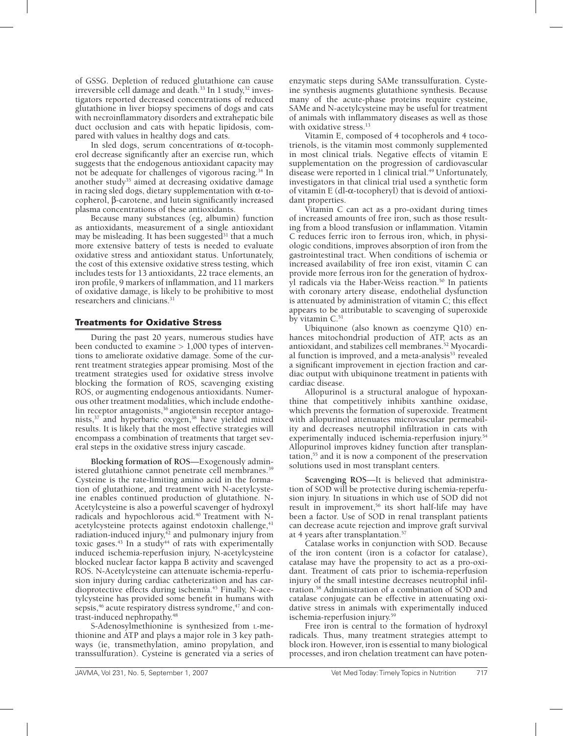of GSSG. Depletion of reduced glutathione can cause irreversible cell damage and death.<sup>33</sup> In 1 study,<sup>32</sup> investigators reported decreased concentrations of reduced glutathione in liver biopsy specimens of dogs and cats with necroinflammatory disorders and extrahepatic bile duct occlusion and cats with hepatic lipidosis, compared with values in healthy dogs and cats.

In sled dogs, serum concentrations of α-tocopherol decrease significantly after an exercise run, which suggests that the endogenous antioxidant capacity may not be adequate for challenges of vigorous racing.<sup>34</sup> In another study<sup>35</sup> aimed at decreasing oxidative damage in racing sled dogs, dietary supplementation with  $\alpha$ -tocopherol, β-carotene, and lutein significantly increased plasma concentrations of these antioxidants.

Because many substances (eg, albumin) function as antioxidants, measurement of a single antioxidant may be misleading. It has been suggested<sup>31</sup> that a much more extensive battery of tests is needed to evaluate oxidative stress and antioxidant status. Unfortunately, the cost of this extensive oxidative stress testing, which includes tests for 13 antioxidants, 22 trace elements, an iron profile, 9 markers of inflammation, and 11 markers of oxidative damage, is likely to be prohibitive to most researchers and clinicians.31

## Treatments for Oxidative Stress

During the past 20 years, numerous studies have been conducted to examine  $> 1,000$  types of interventions to ameliorate oxidative damage. Some of the current treatment strategies appear promising. Most of the treatment strategies used for oxidative stress involve blocking the formation of ROS, scavenging existing ROS, or augmenting endogenous antioxidants. Numerous other treatment modalities, which include endothelin receptor antagonists,<sup>36</sup> angiotensin receptor antagonists,<sup>37</sup> and hyperbaric oxygen,<sup>38</sup> have yielded mixed results. It is likely that the most effective strategies will encompass a combination of treatments that target several steps in the oxidative stress injury cascade.

**Blocking formation of ROS**—Exogenously administered glutathione cannot penetrate cell membranes.<sup>39</sup> Cysteine is the rate-limiting amino acid in the formation of glutathione, and treatment with N-acetylcysteine enables continued production of glutathione. N-Acetylcysteine is also a powerful scavenger of hydroxyl radicals and hypochlorous acid.<sup>40</sup> Treatment with Nacetylcysteine protects against endotoxin challenge,<sup>41</sup> radiation-induced injury, $\frac{4}{3}$  and pulmonary injury from toxic gases.<sup>43</sup> In a study<sup>44</sup> of rats with experimentally induced ischemia-reperfusion injury, N-acetylcysteine blocked nuclear factor kappa B activity and scavenged ROS. N-Acetylcysteine can attenuate ischemia-reperfusion injury during cardiac catheterization and has cardioprotective effects during ischemia.<sup>45</sup> Finally, N-acetylcysteine has provided some benefit in humans with sepsis,<sup>46</sup> acute respiratory distress syndrome,<sup>47</sup> and contrast-induced nephropathy.<sup>48</sup>

S-Adenosylmethionine is synthesized from L-methionine and ATP and plays a major role in 3 key pathways (ie, transmethylation, amino propylation, and transsulfuration). Cysteine is generated via a series of

enzymatic steps during SAMe transsulfuration. Cysteine synthesis augments glutathione synthesis. Because many of the acute-phase proteins require cysteine, SAMe and N-acetylcysteine may be useful for treatment of animals with inflammatory diseases as well as those with oxidative stress.<sup>13</sup>

Vitamin E, composed of 4 tocopherols and 4 tocotrienols, is the vitamin most commonly supplemented in most clinical trials. Negative effects of vitamin E supplementation on the progression of cardiovascular disease were reported in 1 clinical trial.<sup>49</sup> Unfortunately, investigators in that clinical trial used a synthetic form of vitamin E (dl-α-tocopheryl) that is devoid of antioxidant properties.

Vitamin C can act as a pro-oxidant during times of increased amounts of free iron, such as those resulting from a blood transfusion or inflammation. Vitamin C reduces ferric iron to ferrous iron, which, in physiologic conditions, improves absorption of iron from the gastrointestinal tract. When conditions of ischemia or increased availability of free iron exist, vitamin C can provide more ferrous iron for the generation of hydroxyl radicals via the Haber-Weiss reaction.<sup>50</sup> In patients with coronary artery disease, endothelial dysfunction is attenuated by administration of vitamin C; this effect appears to be attributable to scavenging of superoxide by vitamin C.<sup>51</sup>

Ubiquinone (also known as coenzyme Q10) enhances mitochondrial production of ATP, acts as an antioxidant, and stabilizes cell membranes.<sup>52</sup> Myocardial function is improved, and a meta-analysis<sup>53</sup> revealed a significant improvement in ejection fraction and cardiac output with ubiquinone treatment in patients with cardiac disease.

Allopurinol is a structural analogue of hypoxanthine that competitively inhibits xanthine oxidase, which prevents the formation of superoxide. Treatment with allopurinol attenuates microvascular permeability and decreases neutrophil infiltration in cats with experimentally induced ischemia-reperfusion injury.<sup>54</sup> Allopurinol improves kidney function after transplantation,55 and it is now a component of the preservation solutions used in most transplant centers.

**Scavenging ROS**—It is believed that administration of SOD will be protective during ischemia-reperfusion injury. In situations in which use of SOD did not result in improvement,<sup>56</sup> its short half-life may have been a factor. Use of SOD in renal transplant patients can decrease acute rejection and improve graft survival at 4 years after transplantation.57

Catalase works in conjunction with SOD. Because of the iron content (iron is a cofactor for catalase), catalase may have the propensity to act as a pro-oxidant. Treatment of cats prior to ischemia-reperfusion injury of the small intestine decreases neutrophil infiltration.58 Administration of a combination of SOD and catalase conjugate can be effective in attenuating oxidative stress in animals with experimentally induced ischemia-reperfusion injury.59

Free iron is central to the formation of hydroxyl radicals. Thus, many treatment strategies attempt to block iron. However, iron is essential to many biological processes, and iron chelation treatment can have poten-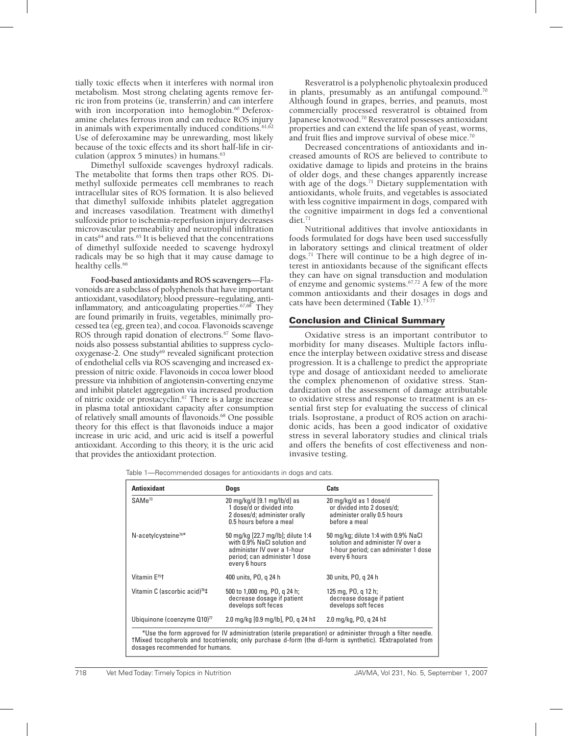tially toxic effects when it interferes with normal iron metabolism. Most strong chelating agents remove ferric iron from proteins (ie, transferrin) and can interfere with iron incorporation into hemoglobin.<sup>60</sup> Deferoxamine chelates ferrous iron and can reduce ROS injury in animals with experimentally induced conditions. $61,62$ Use of deferoxamine may be unrewarding, most likely because of the toxic effects and its short half-life in circulation (approx  $5$  minutes) in humans. $63$ 

Dimethyl sulfoxide scavenges hydroxyl radicals. The metabolite that forms then traps other ROS. Dimethyl sulfoxide permeates cell membranes to reach intracellular sites of ROS formation. It is also believed that dimethyl sulfoxide inhibits platelet aggregation and increases vasodilation. Treatment with dimethyl sulfoxide prior to ischemia-reperfusion injury decreases microvascular permeability and neutrophil infiltration in cats<sup>64</sup> and rats.<sup>65</sup> It is believed that the concentrations of dimethyl sulfoxide needed to scavenge hydroxyl radicals may be so high that it may cause damage to healthy cells.<sup>66</sup>

**Food-based antioxidants and ROS scavengers**—Flavonoids are a subclass of polyphenols that have important antioxidant, vasodilatory, blood pressure–regulating, antiinflammatory, and anticoagulating properties. $67,68$  They are found primarily in fruits, vegetables, minimally processed tea (eg, green tea), and cocoa. Flavonoids scavenge ROS through rapid donation of electrons.<sup>67</sup> Some flavonoids also possess substantial abilities to suppress cyclooxygenase-2. One study<sup>69</sup> revealed significant protection of endothelial cells via ROS scavenging and increased expression of nitric oxide. Flavonoids in cocoa lower blood pressure via inhibition of angiotensin-converting enzyme and inhibit platelet aggregation via increased production of nitric oxide or prostacyclin.67 There is a large increase in plasma total antioxidant capacity after consumption of relatively small amounts of flavonoids.<sup>68</sup> One possible theory for this effect is that flavonoids induce a major increase in uric acid, and uric acid is itself a powerful antioxidant. According to this theory, it is the uric acid that provides the antioxidant protection.

Resveratrol is a polyphenolic phytoalexin produced in plants, presumably as an antifungal compound.<sup>70</sup> Although found in grapes, berries, and peanuts, most commercially processed resveratrol is obtained from Japanese knotwood.<sup>70</sup> Resveratrol possesses antioxidant properties and can extend the life span of yeast, worms, and fruit flies and improve survival of obese mice.<sup>70</sup>

Decreased concentrations of antioxidants and increased amounts of ROS are believed to contribute to oxidative damage to lipids and proteins in the brains of older dogs, and these changes apparently increase with age of the dogs.<sup>71</sup> Dietary supplementation with antioxidants, whole fruits, and vegetables is associated with less cognitive impairment in dogs, compared with the cognitive impairment in dogs fed a conventional diet.<sup>71</sup>

Nutritional additives that involve antioxidants in foods formulated for dogs have been used successfully in laboratory settings and clinical treatment of older dogs.71 There will continue to be a high degree of interest in antioxidants because of the significant effects they can have on signal transduction and modulation of enzyme and genomic systems.67,72 A few of the more common antioxidants and their dosages in dogs and cats have been determined **(Table 1)**. 73-77

#### Conclusion and Clinical Summary

Oxidative stress is an important contributor to morbidity for many diseases. Multiple factors influence the interplay between oxidative stress and disease progression. It is a challenge to predict the appropriate type and dosage of antioxidant needed to ameliorate the complex phenomenon of oxidative stress. Standardization of the assessment of damage attributable to oxidative stress and response to treatment is an essential first step for evaluating the success of clinical trials. Isoprostane, a product of ROS action on arachidonic acids, has been a good indicator of oxidative stress in several laboratory studies and clinical trials and offers the benefits of cost effectiveness and noninvasive testing.

Table 1—Recommended dosages for antioxidants in dogs and cats.

| <b>Antioxidant</b>                         | <b>Dogs</b>                                                                                                                                       | Cats                                                                                                                              |
|--------------------------------------------|---------------------------------------------------------------------------------------------------------------------------------------------------|-----------------------------------------------------------------------------------------------------------------------------------|
| $SAMe^{73}$                                | 20 mg/kg/d [9.1 mg/lb/d] as<br>1 dose/d or divided into<br>2 doses/d; administer orally<br>0.5 hours before a meal                                | 20 mg/kg/d as 1 dose/d<br>or divided into 2 doses/d;<br>administer orally 0.5 hours<br>before a meal                              |
| N-acetylcysteine <sup>74*</sup>            | 50 mg/kg [22.7 mg/lb]; dilute 1:4<br>with 0.9% NaCl solution and<br>administer IV over a 1-hour<br>period; can administer 1 dose<br>every 6 hours | 50 mg/kg; dilute 1:4 with 0.9% NaCl<br>solution and administer IV over a<br>1-hour period; can administer 1 dose<br>every 6 hours |
| Vitamin E <sup>75</sup> t                  | 400 units, PO, q 24 h                                                                                                                             | 30 units, PO, g 24 h                                                                                                              |
| Vitamin C (ascorbic acid) <sup>76</sup> ‡  | 500 to 1,000 mg, PO, g 24 h;<br>decrease dosage if patient<br>develops soft feces                                                                 | 125 mg, PO, g 12 h;<br>decrease dosage if patient<br>develops soft feces                                                          |
| Ubiquinone (coenzyme $Q10$ ) <sup>77</sup> | 2.0 mg/kg [0.9 mg/lb], PO, g 24 h‡                                                                                                                | 2.0 mg/kg, PO, g 24 h‡                                                                                                            |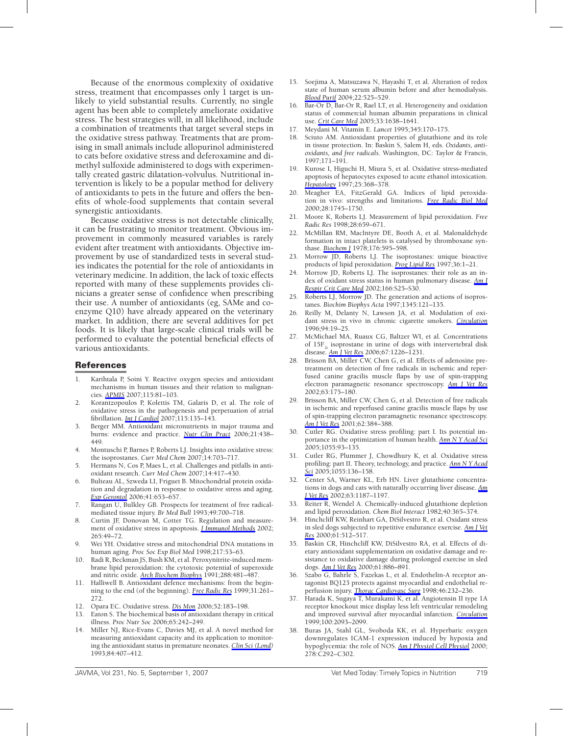Because of the enormous complexity of oxidative stress, treatment that encompasses only 1 target is unlikely to yield substantial results. Currently, no single agent has been able to completely ameliorate oxidative stress. The best strategies will, in all likelihood, include a combination of treatments that target several steps in the oxidative stress pathway. Treatments that are promising in small animals include allopurinol administered to cats before oxidative stress and deferoxamine and dimethyl sulfoxide administered to dogs with experimentally created gastric dilatation-volvulus. Nutritional intervention is likely to be a popular method for delivery of antioxidants to pets in the future and offers the benefits of whole-food supplements that contain several synergistic antioxidants.

Because oxidative stress is not detectable clinically, it can be frustrating to monitor treatment. Obvious improvement in commonly measured variables is rarely evident after treatment with antioxidants. Objective improvement by use of standardized tests in several studies indicates the potential for the role of antioxidants in veterinary medicine. In addition, the lack of toxic effects reported with many of these supplements provides clinicians a greater sense of confidence when prescribing their use. A number of antioxidants (eg, SAMe and coenzyme Q10) have already appeared on the veterinary market. In addition, there are several additives for pet foods. It is likely that large-scale clinical trials will be performed to evaluate the potential beneficial effects of various antioxidants.

#### **References**

- 1. Karihtala P, Soini Y. Reactive oxygen species and antioxidant mechanisms in human tissues and their relation to malignancies. *APMIS* 2007;115:81–103.
- 2. Korantzopoulos P, Kolettis TM, Galaris D, et al. The role of oxidative stress in the pathogenesis and perpetuation of atrial fibrillation. *Int J Cardiol* 2007;115:135–143.
- 3. Berger MM. Antioxidant micronutrients in major trauma and burns: evidence and practice. *Nutr Clin Pract* 2006;21:438– 449.
- 4. Montuschi P, Barnes P, Roberts LJ. Insights into oxidative stress: the isoprostanes. *Curr Med Chem* 2007;14:703–717.
- 5. Hermans N, Cos P, Maes L, et al. Challenges and pitfalls in antioxidant research. *Curr Med Chem* 2007;14:417–430.
- 6. Bulteau AL, Szweda LI, Friguet B. Mitochondrial protein oxidation and degradation in response to oxidative stress and aging. *Exp Gerontol* 2006;41:653–657.
- 7. Rangan U, Bulkley GB. Prospects for treatment of free radicalmediated tissue injury. *Br Med Bull* 1993;49:700–718.
- 8. Curtin JF, Donovan M, Cotter TG. Regulation and measurement of oxidative stress in apoptosis. *J Immunol Methods* 2002; 265:49–72.
- 9. Wei YH. Oxidative stress and mitochondrial DNA mutations in human aging. *Proc Soc Exp Biol Med* 1998;217:53–63.
- Radi R, Beckman JS, Bush KM, et al. Peroxynitrite-induced membrane lipid peroxidation: the cytotoxic potential of superoxide and nitric oxide. *Arch Biochem Biophys* 1991;288:481–487.
- 11. Halliwell B. Antioxidant defence mechanisms: from the beginning to the end (of the beginning). *Free Radic Res* 1999;31:261– 272.
- 12. Opara EC. Oxidative stress. *Dis Mon* 2006;52:183–198.
- 13. Eaton S. The biochemical basis of antioxidant therapy in critical illness. *Proc Nutr Soc* 2006;65:242–249.
- 14. Miller NJ, Rice-Evans C, Davies MJ, et al. A novel method for measuring antioxidant capacity and its application to monitoring the antioxidant status in premature neonates. *Clin Sci (Lond)* 1993;84:407–412.
- 15. Soejima A, Matsuzawa N, Hayashi T, et al. Alteration of redox state of human serum albumin before and after hemodialysis. *Blood Purif* 2004;22:525–529.
- 16. Bar-Or D, Bar-Or R, Rael LT, et al. Heterogeneity and oxidation status of commercial human albumin preparations in clinical use. *Crit Care Med* 2005;33:1638–1641.
- 17. Meydani M. Vitamin E. *Lancet* 1995;345:170–175.
- 18. Sciuto AM. Antioxidant properties of glutathione and its role in tissue protection. In: Baskin S, Salem H, eds. *Oxidants, antioxidants, and free radicals*. Washington, DC: Taylor & Francis, 1997;171–191.
- 19. Kurose I, Higuchi H, Miura S, et al. Oxidative stress-mediated apoptosis of hepatocytes exposed to acute ethanol intoxication. *Hepatology* 1997;25:368–378.
- 20. Meagher EA, FitzGerald GA. Indices of lipid peroxidation in vivo: strengths and limitations. *Free Radic Biol Med* 2000;28:1745–1750.
- 21. Moore K, Roberts LJ. Measurement of lipid peroxidation. *Free Radic Res* 1998;28:659–671.
- 22. McMillan RM, MacIntyre DE, Booth A, et al. Malonaldehyde formation in intact platelets is catalysed by thromboxane synthase. *Biochem J* 1978;176:595–598.
- 23. Morrow JD, Roberts LJ. The isoprostanes: unique bioactive products of lipid peroxidation. *Prog Lipid Res* 1997;36:1–21.
- 24. Morrow JD, Roberts LJ. The isoprostanes: their role as an index of oxidant stress status in human pulmonary disease. *Am J Respir Crit Care Med* 2002;166:S25–S30.
- 25. Roberts LJ, Morrow JD. The generation and actions of isoprostanes. *Biochim Biophys Acta* 1997;1345:121–135.
- 26. Reilly M, Delanty N, Lawson JA, et al. Modulation of oxidant stress in vivo in chronic cigarette smokers. *Circulation* 1996;94:19–25.
- 27. McMichael MA, Ruaux CG, Baltzer WI, et al. Concentrations of 15F<sub>2</sub> isoprostane in urine of dogs with intervertebral disk disease. *Am J Vet Res* 2006;67:1226–1231.
- 28. Brisson BA, Miller CW, Chen G, et al. Effects of adenosine pretreatment on detection of free radicals in ischemic and reperfused canine gracilis muscle flaps by use of spin-trapping electron paramagnetic resonance spectroscopy. *Am J Vet Res* 2002;63:175–180.
- 29. Brisson BA, Miller CW, Chen G, et al. Detection of free radicals in ischemic and reperfused canine gracilis muscle flaps by use of spin-trapping electron paramagnetic resonance spectroscopy. *Am J Vet Res* 2001;62:384–388.
- 30. Cutler RG. Oxidative stress profiling: part I. Its potential importance in the optimization of human health. *Ann N Y Acad Sci* 2005;1055:93–135.
- 31. Cutler RG, Plummer J, Chowdhury K, et al. Oxidative stress profiling: part II. Theory, technology, and practice. *Ann N Y Acad Sci* 2005;1055:136–158.
- 32. Center SA, Warner KL, Erb HN. Liver glutathione concentrations in dogs and cats with naturally occurring liver disease. *Am J Vet Res* 2002;63:1187–1197.
- 33. Reiter R, Wendel A. Chemically-induced glutathione depletion and lipid peroxidation. *Chem Biol Interact* 1982;40:365–374.
- 34. Hinchcliff KW, Reinhart GA, DiSilvestro R, et al. Oxidant stress in sled dogs subjected to repetitive endurance exercise. *Am J Vet Res* 2000;61:512–517.
- 35. Baskin CR, Hinchcliff KW, DiSilvestro RA, et al. Effects of dietary antioxidant supplementation on oxidative damage and resistance to oxidative damage during prolonged exercise in sled dogs. *Am J Vet Res* 2000;61:886–891.
- 36. Szabo G, Bahrle S, Fazekas L, et al. Endothelin-A receptor antagonist BQ123 protects against myocardial and endothelial reperfusion injury. *Thorac Cardiovasc Surg* 1998;46:232–236.
- 37. Harada K, Sugaya T, Murakami K, et al. Angiotensin II type 1A receptor knockout mice display less left ventricular remodeling and improved survival after myocardial infarction. *Circulation* 1999;100:2093–2099.
- 38. Buras JA, Stahl GL, Svoboda KK, et al. Hyperbaric oxygen downregulates ICAM-1 expression induced by hypoxia and hypoglycemia: the role of NOS. *Am J Physiol Cell Physiol* 2000; 278:C292–C302.